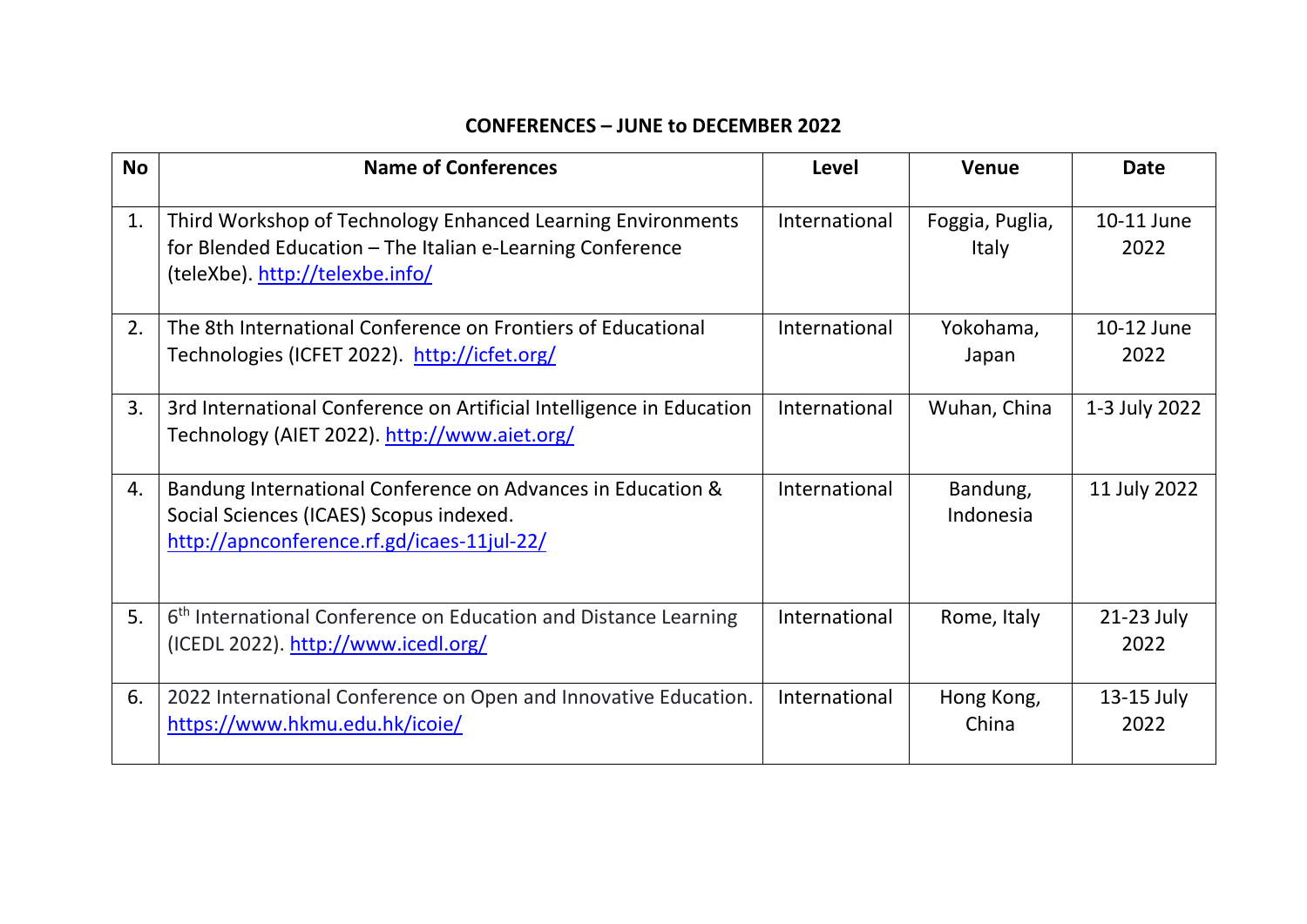## **CONFERENCES – JUNE to DECEMBER 2022**

| <b>No</b> | <b>Name of Conferences</b>                                                                                                                                  | Level         | Venue                    | <b>Date</b>          |
|-----------|-------------------------------------------------------------------------------------------------------------------------------------------------------------|---------------|--------------------------|----------------------|
| 1.        | Third Workshop of Technology Enhanced Learning Environments<br>for Blended Education - The Italian e-Learning Conference<br>(teleXbe). http://telexbe.info/ | International | Foggia, Puglia,<br>Italy | 10-11 June<br>2022   |
| 2.        | The 8th International Conference on Frontiers of Educational<br>Technologies (ICFET 2022). http://icfet.org/                                                | International | Yokohama,<br>Japan       | 10-12 June<br>2022   |
| 3.        | 3rd International Conference on Artificial Intelligence in Education<br>Technology (AIET 2022). http://www.aiet.org/                                        | International | Wuhan, China             | 1-3 July 2022        |
| 4.        | Bandung International Conference on Advances in Education &<br>Social Sciences (ICAES) Scopus indexed.<br>http://apnconference.rf.gd/icaes-11jul-22/        | International | Bandung,<br>Indonesia    | 11 July 2022         |
| 5.        | 6 <sup>th</sup> International Conference on Education and Distance Learning<br>$($ ICEDL 2022 $)$ . http://www.icedl.org/                                   | International | Rome, Italy              | $21-23$ July<br>2022 |
| 6.        | 2022 International Conference on Open and Innovative Education.<br>https://www.hkmu.edu.hk/icoie/                                                           | International | Hong Kong,<br>China      | 13-15 July<br>2022   |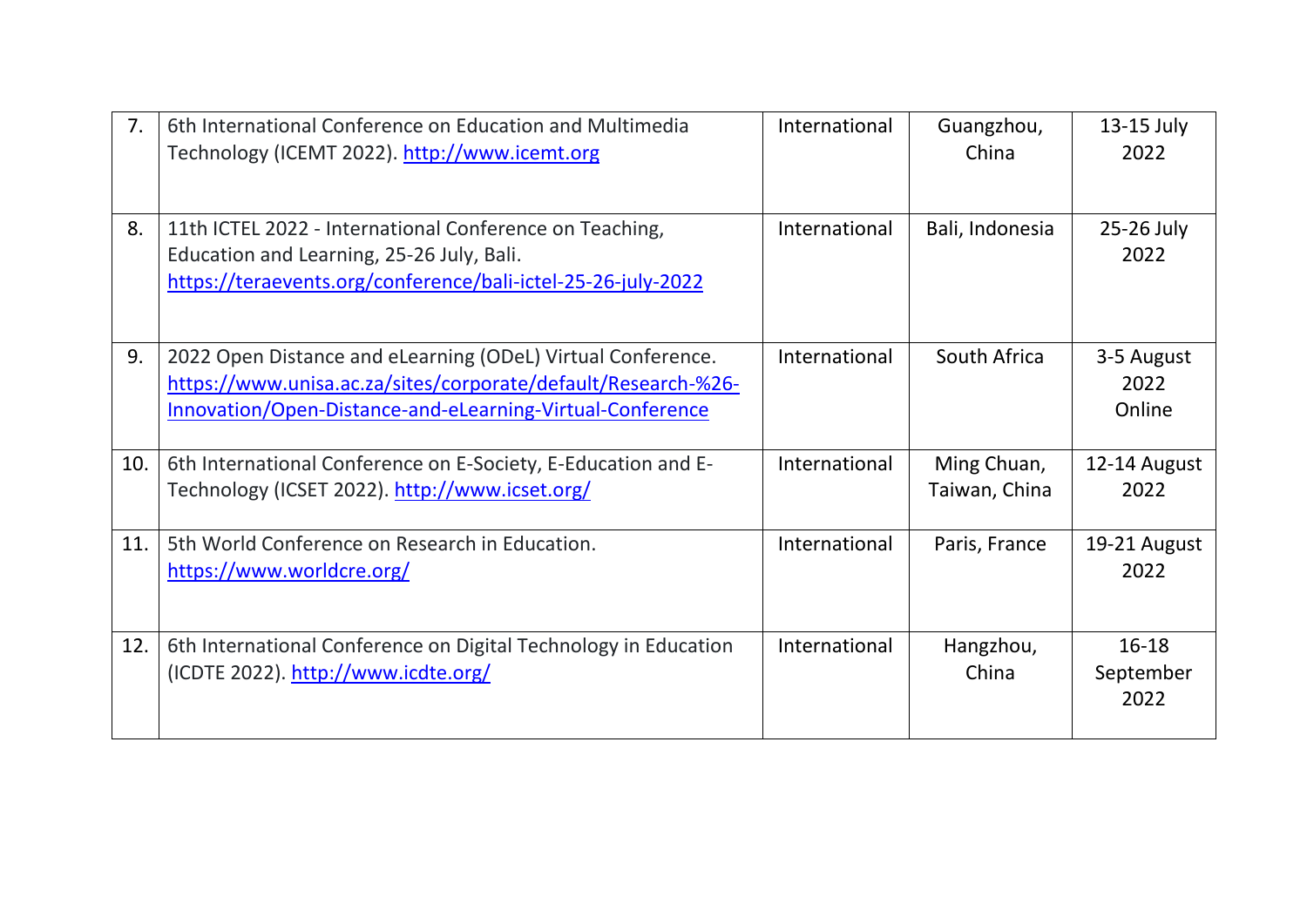| 7 <sub>1</sub> | 6th International Conference on Education and Multimedia<br>Technology (ICEMT 2022). http://www.icemt.org                                                                                 | International | Guangzhou,<br>China          | 13-15 July<br>2022             |
|----------------|-------------------------------------------------------------------------------------------------------------------------------------------------------------------------------------------|---------------|------------------------------|--------------------------------|
| 8.             | 11th ICTEL 2022 - International Conference on Teaching,<br>Education and Learning, 25-26 July, Bali.<br>https://teraevents.org/conference/bali-ictel-25-26-july-2022                      | International | Bali, Indonesia              | 25-26 July<br>2022             |
| 9.             | 2022 Open Distance and eLearning (ODeL) Virtual Conference.<br>https://www.unisa.ac.za/sites/corporate/default/Research-%26-<br>Innovation/Open-Distance-and-eLearning-Virtual-Conference | International | South Africa                 | 3-5 August<br>2022<br>Online   |
| 10.            | 6th International Conference on E-Society, E-Education and E-<br>Technology (ICSET 2022). http://www.icset.org/                                                                           | International | Ming Chuan,<br>Taiwan, China | 12-14 August<br>2022           |
| 11.            | 5th World Conference on Research in Education.<br>https://www.worldcre.org/                                                                                                               | International | Paris, France                | 19-21 August<br>2022           |
| 12.            | 6th International Conference on Digital Technology in Education<br>(ICDTE 2022). http://www.icdte.org/                                                                                    | International | Hangzhou,<br>China           | $16 - 18$<br>September<br>2022 |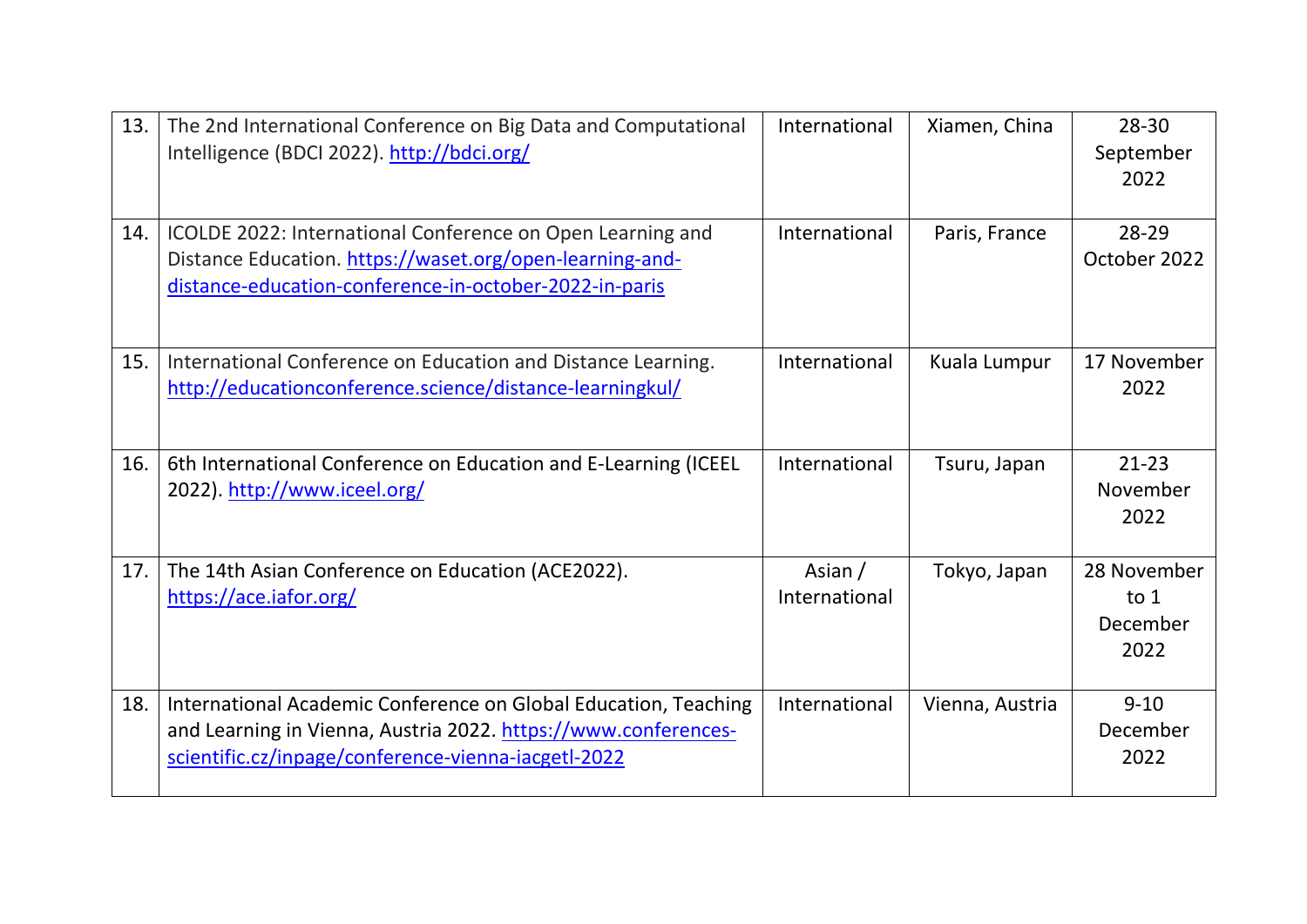| 13. | The 2nd International Conference on Big Data and Computational<br>Intelligence (BDCI 2022). http://bdci.org/                                                                             | International            | Xiamen, China   | 28-30<br>September<br>2022                |
|-----|------------------------------------------------------------------------------------------------------------------------------------------------------------------------------------------|--------------------------|-----------------|-------------------------------------------|
| 14. | ICOLDE 2022: International Conference on Open Learning and<br>Distance Education. https://waset.org/open-learning-and-<br>distance-education-conference-in-october-2022-in-paris         | International            | Paris, France   | 28-29<br>October 2022                     |
| 15. | International Conference on Education and Distance Learning.<br>http://educationconference.science/distance-learningkul/                                                                 | International            | Kuala Lumpur    | 17 November<br>2022                       |
| 16. | 6th International Conference on Education and E-Learning (ICEEL<br>2022). http://www.iceel.org/                                                                                          | International            | Tsuru, Japan    | $21 - 23$<br>November<br>2022             |
| 17. | The 14th Asian Conference on Education (ACE2022).<br>https://ace.iafor.org/                                                                                                              | Asian /<br>International | Tokyo, Japan    | 28 November<br>to $1$<br>December<br>2022 |
| 18. | International Academic Conference on Global Education, Teaching<br>and Learning in Vienna, Austria 2022. https://www.conferences-<br>scientific.cz/inpage/conference-vienna-iacgetl-2022 | International            | Vienna, Austria | $9 - 10$<br>December<br>2022              |